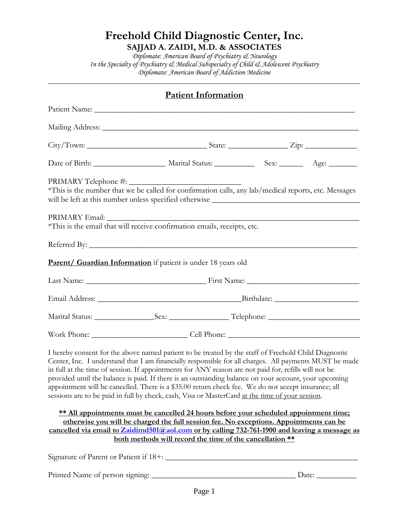**SAJJAD A. ZAIDI, M.D. & ASSOCIATES**

*Diplomate: American Board of Psychiatry & Neurology In the Specialty of Psychiatry & Medical Subspecialty of Child & Adolescent Psychiatry Diplomate: American Board of Addiction Medicine*

\_\_\_\_\_\_\_\_\_\_\_\_\_\_\_\_\_\_\_\_\_\_\_\_\_\_\_\_\_\_\_\_\_\_\_\_\_\_\_\_\_\_\_\_\_\_\_\_\_\_\_\_\_\_\_\_\_\_\_\_\_\_\_\_\_\_\_\_\_\_\_\_\_\_\_\_\_\_\_\_\_\_\_\_\_

|                                 | <b>Patient Information</b>                                                                                                                                                                                                                                                                                                                                                                                                                                                                                                                                                                                                                |       |
|---------------------------------|-------------------------------------------------------------------------------------------------------------------------------------------------------------------------------------------------------------------------------------------------------------------------------------------------------------------------------------------------------------------------------------------------------------------------------------------------------------------------------------------------------------------------------------------------------------------------------------------------------------------------------------------|-------|
|                                 |                                                                                                                                                                                                                                                                                                                                                                                                                                                                                                                                                                                                                                           |       |
|                                 |                                                                                                                                                                                                                                                                                                                                                                                                                                                                                                                                                                                                                                           |       |
|                                 |                                                                                                                                                                                                                                                                                                                                                                                                                                                                                                                                                                                                                                           |       |
|                                 |                                                                                                                                                                                                                                                                                                                                                                                                                                                                                                                                                                                                                                           |       |
|                                 | *This is the number that we be called for confirmation calls, any lab/medical reports, etc. Messages                                                                                                                                                                                                                                                                                                                                                                                                                                                                                                                                      |       |
|                                 |                                                                                                                                                                                                                                                                                                                                                                                                                                                                                                                                                                                                                                           |       |
|                                 |                                                                                                                                                                                                                                                                                                                                                                                                                                                                                                                                                                                                                                           |       |
|                                 | <b>Parent/ Guardian Information</b> if patient is under 18 years old                                                                                                                                                                                                                                                                                                                                                                                                                                                                                                                                                                      |       |
|                                 |                                                                                                                                                                                                                                                                                                                                                                                                                                                                                                                                                                                                                                           |       |
|                                 |                                                                                                                                                                                                                                                                                                                                                                                                                                                                                                                                                                                                                                           |       |
|                                 |                                                                                                                                                                                                                                                                                                                                                                                                                                                                                                                                                                                                                                           |       |
|                                 | Work Phone: Cell Phone: Cell Phone:                                                                                                                                                                                                                                                                                                                                                                                                                                                                                                                                                                                                       |       |
|                                 | I hereby consent for the above named patient to be treated by the staff of Freehold Child Diagnostic<br>Center, Inc. I understand that I am financially responsible for all charges. All payments MUST be made<br>in full at the time of session. If appointments for ANY reason are not paid for, refills will not be<br>provided until the balance is paid. If there is an outstanding balance on your account, your upcoming<br>appointment will be cancelled. There is a \$35.00 return check fee. We do not accept insurance; all<br>sessions are to be paid in full by check, cash, Visa or MasterCard at the time of your session. |       |
|                                 | ** All appointments must be cancelled 24 hours before your scheduled appointment time;<br>otherwise you will be charged the full session fee. No exceptions. Appointments can be<br>cancelled via email to Zaidimd501@aol.com or by calling 732-761-1900 and leaving a message as<br>both methods will record the time of the cancellation **                                                                                                                                                                                                                                                                                             |       |
|                                 |                                                                                                                                                                                                                                                                                                                                                                                                                                                                                                                                                                                                                                           |       |
| Printed Name of person signing: |                                                                                                                                                                                                                                                                                                                                                                                                                                                                                                                                                                                                                                           | Date: |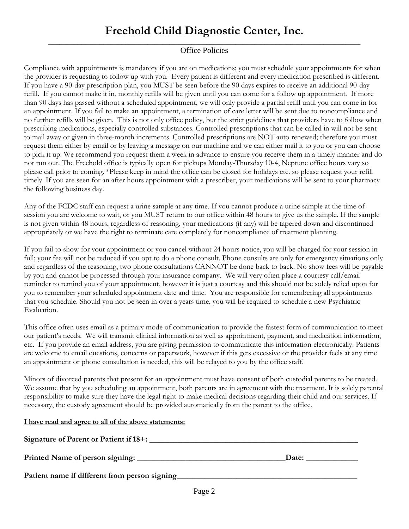#### \_\_\_\_\_\_\_\_\_\_\_\_\_\_\_\_\_\_\_\_\_\_\_\_\_\_\_\_\_\_\_\_\_\_\_\_\_\_\_\_\_\_\_\_\_\_\_\_\_\_\_\_\_\_\_\_\_\_\_\_\_\_\_\_\_\_\_\_\_\_\_\_\_\_\_\_\_\_\_\_\_\_\_\_\_ Office Policies

Compliance with appointments is mandatory if you are on medications; you must schedule your appointments for when the provider is requesting to follow up with you. Every patient is different and every medication prescribed is different. If you have a 90-day prescription plan, you MUST be seen before the 90 days expires to receive an additional 90-day refill. If you cannot make it in, monthly refills will be given until you can come for a follow up appointment. If more than 90 days has passed without a scheduled appointment, we will only provide a partial refill until you can come in for an appointment. If you fail to make an appointment, a termination of care letter will be sent due to noncompliance and no further refills will be given. This is not only office policy, but the strict guidelines that providers have to follow when prescribing medications, especially controlled substances. Controlled prescriptions that can be called in will not be sent to mail away or given in three-month increments. Controlled prescriptions are NOT auto renewed; therefore you must request them either by email or by leaving a message on our machine and we can either mail it to you or you can choose to pick it up. We recommend you request them a week in advance to ensure you receive them in a timely manner and do not run out. The Freehold office is typically open for pickups Monday-Thursday 10-4, Neptune office hours vary so please call prior to coming. \*Please keep in mind the office can be closed for holidays etc. so please request your refill timely. If you are seen for an after hours appointment with a prescriber, your medications will be sent to your pharmacy the following business day.

Any of the FCDC staff can request a urine sample at any time. If you cannot produce a urine sample at the time of session you are welcome to wait, or you MUST return to our office within 48 hours to give us the sample. If the sample is not given within 48 hours, regardless of reasoning, your medications (if any) will be tapered down and discontinued appropriately or we have the right to terminate care completely for noncompliance of treatment planning.

If you fail to show for your appointment or you cancel without 24 hours notice, you will be charged for your session in full; your fee will not be reduced if you opt to do a phone consult. Phone consults are only for emergency situations only and regardless of the reasoning, two phone consultations CANNOT be done back to back. No show fees will be payable by you and cannot be processed through your insurance company. We will very often place a courtesy call/email reminder to remind you of your appointment, however it is just a courtesy and this should not be solely relied upon for you to remember your scheduled appointment date and time. You are responsible for remembering all appointments that you schedule. Should you not be seen in over a years time, you will be required to schedule a new Psychiatric Evaluation.

This office often uses email as a primary mode of communication to provide the fastest form of communication to meet our patient's needs. We will transmit clinical information as well as appointment, payment, and medication information, etc. If you provide an email address, you are giving permission to communicate this information electronically. Patients are welcome to email questions, concerns or paperwork, however if this gets excessive or the provider feels at any time an appointment or phone consultation is needed, this will be relayed to you by the office staff.

Minors of divorced parents that present for an appointment must have consent of both custodial parents to be treated. We assume that by you scheduling an appointment, both parents are in agreement with the treatment. It is solely parental responsibility to make sure they have the legal right to make medical decisions regarding their child and our services. If necessary, the custody agreement should be provided automatically from the parent to the office.

#### **I have read and agree to all of the above statements:**

| Signature of Parent or Patient if 18+:        |       |
|-----------------------------------------------|-------|
|                                               | Date: |
| Patient name if different from person signing |       |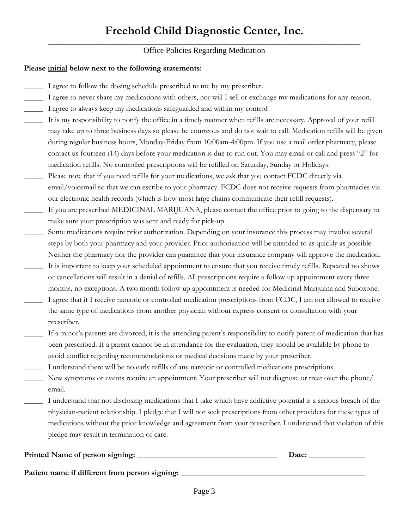#### \_\_\_\_\_\_\_\_\_\_\_\_\_\_\_\_\_\_\_\_\_\_\_\_\_\_\_\_\_\_\_\_\_\_\_\_\_\_\_\_\_\_\_\_\_\_\_\_\_\_\_\_\_\_\_\_\_\_\_\_\_\_\_\_\_\_\_\_\_\_\_\_\_\_\_\_\_\_\_\_\_\_\_\_\_ Office Policies Regarding Medication

#### **Please initial below next to the following statements:**

- I agree to follow the dosing schedule prescribed to me by my prescriber.
- I agree to never share my medications with others, nor will I sell or exchange my medications for any reason.
- \_\_\_\_\_ I agree to always keep my medications safeguarded and within my control.
- It is my responsibility to notify the office in a timely manner when refills are necessary. Approval of your refill may take up to three business days so please be courteous and do not wait to call. Medication refills will be given during regular business hours, Monday-Friday from 10:00am-4:00pm. If you use a mail order pharmacy, please contact us fourteen (14) days before your medication is due to run out. You may email or call and press "2" for medication refills. No controlled prescriptions will be refilled on Saturday, Sunday or Holidays.
- Please note that if you need refills for your medications, we ask that you contact FCDC directly via email/voicemail so that we can escribe to your pharmacy. FCDC does not receive requests from pharmacies via our electronic health records (which is how most large chains communicate their refill requests).
- If you are prescribed MEDICINAL MARIJUANA, please contact the office prior to going to the dispensary to make sure your prescription was sent and ready for pick-up.
- Some medications require prior authorization. Depending on your insurance this process may involve several steps by both your pharmacy and your provider. Prior authorization will be attended to as quickly as possible. Neither the pharmacy nor the provider can guarantee that your insurance company will approve the medication.
- It is important to keep your scheduled appointment to ensure that you receive timely refills. Repeated no shows or cancellations will result in a denial of refills. All prescriptions require a follow up appointment every three months, no exceptions. A two month follow up appointment is needed for Medicinal Marijuana and Suboxone.
- I agree that if I receive narcotic or controlled medication prescriptions from FCDC, I am not allowed to receive the same type of medications from another physician without express consent or consultation with your prescriber.
- If a minor's parents are divorced, it is the attending parent's responsibility to notify parent of medication that has been prescribed. If a parent cannot be in attendance for the evaluation, they should be available by phone to avoid conflict regarding recommendations or medical decisions made by your prescriber.
- I understand there will be no early refills of any narcotic or controlled medications prescriptions.
- New symptoms or events require an appointment. Your prescriber will not diagnose or treat over the phone/ email.
- I understand that not disclosing medications that I take which have addictive potential is a serious breach of the physician-patient relationship. I pledge that I will not seek prescriptions from other providers for these types of medications without the prior knowledge and agreement from your prescriber. I understand that violation of this pledge may result in termination of care.

| Printed Name of person signing:                | Date: |
|------------------------------------------------|-------|
| Patient name if different from person signing: |       |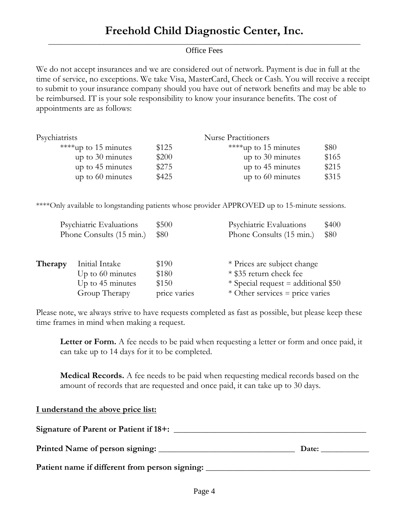#### \_\_\_\_\_\_\_\_\_\_\_\_\_\_\_\_\_\_\_\_\_\_\_\_\_\_\_\_\_\_\_\_\_\_\_\_\_\_\_\_\_\_\_\_\_\_\_\_\_\_\_\_\_\_\_\_\_\_\_\_\_\_\_\_\_\_\_\_\_\_\_\_\_\_\_\_\_\_\_\_\_\_\_\_\_ Office Fees

We do not accept insurances and we are considered out of network. Payment is due in full at the time of service, no exceptions. We take Visa, MasterCard, Check or Cash. You will receive a receipt to submit to your insurance company should you have out of network benefits and may be able to be reimbursed. IT is your sole responsibility to know your insurance benefits. The cost of appointments are as follows:

| Psychiatrists        |       | <b>Nurse Practitioners</b> |       |
|----------------------|-------|----------------------------|-------|
| ****up to 15 minutes | \$125 | ****up to 15 minutes       | \$80  |
| up to $30$ minutes   | \$200 | up to 30 minutes           | \$165 |
| up to 45 minutes     | \$275 | up to 45 minutes           | \$215 |
| up to $60$ minutes   | \$425 | up to $60$ minutes         | \$315 |
|                      |       |                            |       |

\*\*\*\*Only available to longstanding patients whose provider APPROVED up to 15-minute sessions.

| Psychiatric Evaluations<br>Phone Consults (15 min.) |                    | \$500<br>\$80 | Psychiatric Evaluations<br>\$400<br>Phone Consults (15 min.)<br>\$80 |  |
|-----------------------------------------------------|--------------------|---------------|----------------------------------------------------------------------|--|
| Therapy                                             | Initial Intake     | \$190         | * Prices are subject change                                          |  |
|                                                     | Up to $60$ minutes | \$180         | * \$35 return check fee                                              |  |
|                                                     | Up to 45 minutes   | \$150         | $*$ Special request = additional \$50                                |  |
|                                                     | Group Therapy      | price varies  | * Other services = price varies                                      |  |

Please note, we always strive to have requests completed as fast as possible, but please keep these time frames in mind when making a request.

Letter or Form. A fee needs to be paid when requesting a letter or form and once paid, it can take up to 14 days for it to be completed.

**Medical Records.** A fee needs to be paid when requesting medical records based on the amount of records that are requested and once paid, it can take up to 30 days.

**I understand the above price list: Signature of Parent or Patient if 18+:** \_\_\_\_\_\_\_\_\_\_\_\_\_\_\_\_\_\_\_\_\_\_\_\_\_\_\_\_\_\_\_\_\_\_\_\_\_\_\_\_\_\_\_\_\_\_\_\_ **Printed Name of person signing:** \_\_\_\_\_\_\_\_\_\_\_\_\_\_\_\_\_\_\_\_\_\_\_\_\_\_\_\_\_\_\_\_\_\_ **Date:** \_\_\_\_\_\_\_\_\_\_\_\_ Patient name if different from person signing: \_\_\_\_\_\_\_\_\_\_\_\_\_\_\_\_\_\_\_\_\_\_\_\_\_\_\_\_\_\_\_\_\_\_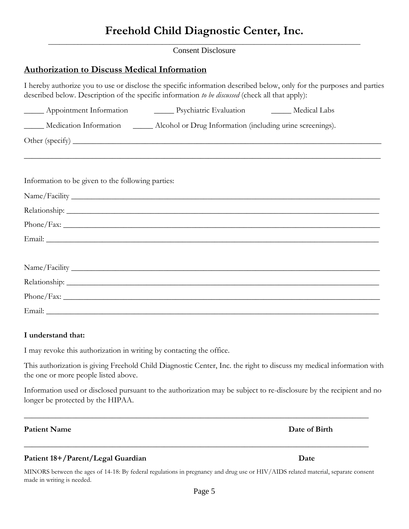\_\_\_\_\_\_\_\_\_\_\_\_\_\_\_\_\_\_\_\_\_\_\_\_\_\_\_\_\_\_\_\_\_\_\_\_\_\_\_\_\_\_\_\_\_\_\_\_\_\_\_\_\_\_\_\_\_\_\_\_\_\_\_\_\_\_\_\_\_\_\_\_\_\_\_\_\_\_\_\_\_\_\_\_\_ Consent Disclosure

### **Authorization to Discuss Medical Information**

I hereby authorize you to use or disclose the specific information described below, only for the purposes and parties described below. Description of the specific information *to be discussed* (check all that apply):

|                                                   | Medication Information ________ Alcohol or Drug Information (including urine screenings). |  |
|---------------------------------------------------|-------------------------------------------------------------------------------------------|--|
|                                                   |                                                                                           |  |
|                                                   | ,我们也不能在这里的时候,我们也不能在这里的时候,我们也不能不能不能不能不能不能不能不能不能不能不能不能不能不能不能。""我们的是,我们也不能不能不能不能不能不能         |  |
| Information to be given to the following parties: |                                                                                           |  |
|                                                   |                                                                                           |  |
|                                                   |                                                                                           |  |
|                                                   |                                                                                           |  |
|                                                   |                                                                                           |  |
|                                                   |                                                                                           |  |
|                                                   |                                                                                           |  |
|                                                   |                                                                                           |  |
|                                                   |                                                                                           |  |
|                                                   |                                                                                           |  |

#### **I understand that:**

I may revoke this authorization in writing by contacting the office.

This authorization is giving Freehold Child Diagnostic Center, Inc. the right to discuss my medical information with the one or more people listed above.

Information used or disclosed pursuant to the authorization may be subject to re-disclosure by the recipient and no longer be protected by the HIPAA.

 $\_$  , and the set of the set of the set of the set of the set of the set of the set of the set of the set of the set of the set of the set of the set of the set of the set of the set of the set of the set of the set of th

#### **Patient Name Date of Birth**

#### **Patient 18+/Parent/Legal Guardian Date**

MINORS between the ages of 14-18: By federal regulations in pregnancy and drug use or HIV/AIDS related material, separate consent made in writing is needed.

 $\_$  , and the set of the set of the set of the set of the set of the set of the set of the set of the set of the set of the set of the set of the set of the set of the set of the set of the set of the set of the set of th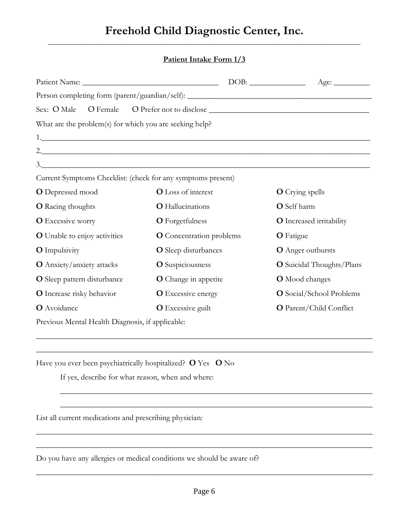### **Freehold Child Diagnostic Center, Inc.** \_\_\_\_\_\_\_\_\_\_\_\_\_\_\_\_\_\_\_\_\_\_\_\_\_\_\_\_\_\_\_\_\_\_\_\_\_\_\_\_\_\_\_\_\_\_\_\_\_\_\_\_\_\_\_\_\_\_\_\_\_\_\_\_\_\_\_\_\_\_\_\_\_\_\_\_\_\_\_\_\_\_\_\_\_

#### **Patient Intake Form 1/3**

|                                                                                                                                                                                                                                   |                                                                                   | Age:                            |
|-----------------------------------------------------------------------------------------------------------------------------------------------------------------------------------------------------------------------------------|-----------------------------------------------------------------------------------|---------------------------------|
|                                                                                                                                                                                                                                   | Person completing form (parent/guardian/self): __________________________________ |                                 |
| Sex: O Male                                                                                                                                                                                                                       |                                                                                   |                                 |
| What are the problem(s) for which you are seeking help?                                                                                                                                                                           |                                                                                   |                                 |
|                                                                                                                                                                                                                                   |                                                                                   |                                 |
|                                                                                                                                                                                                                                   |                                                                                   |                                 |
|                                                                                                                                                                                                                                   | 3.                                                                                |                                 |
|                                                                                                                                                                                                                                   | Current Symptoms Checklist: (check for any symptoms present)                      |                                 |
| <b>O</b> Depressed mood                                                                                                                                                                                                           | <b>O</b> Loss of interest                                                         | <b>O</b> Crying spells          |
| <b>O</b> Racing thoughts                                                                                                                                                                                                          | <b>O</b> Hallucinations                                                           | O Self harm                     |
| <b>O</b> Excessive worry                                                                                                                                                                                                          | <b>O</b> Forgetfulness                                                            | <b>O</b> Increased irritability |
| <b>O</b> Unable to enjoy activities                                                                                                                                                                                               | <b>O</b> Concentration problems                                                   | <b>O</b> Fatigue                |
| <b>O</b> Impulsivity                                                                                                                                                                                                              | <b>O</b> Sleep disturbances                                                       | <b>O</b> Anger outbursts        |
| O Anxiety/anxiety attacks                                                                                                                                                                                                         | <b>O</b> Suspiciousness                                                           | O Suicidal Thoughts/Plans       |
| O Sleep pattern disturbance                                                                                                                                                                                                       | O Change in appetite                                                              | <b>O</b> Mood changes           |
| O Increase risky behavior                                                                                                                                                                                                         | <b>O</b> Excessive energy                                                         | O Social/School Problems        |
| O Avoidance                                                                                                                                                                                                                       | <b>O</b> Excessive guilt                                                          | O Parent/Child Conflict         |
| $\mathbf{r}$ , and the second contract of the second contract of the second contract of the second contract of the second contract of the second contract of the second contract of the second contract of the second contract of |                                                                                   |                                 |

\_\_\_\_\_\_\_\_\_\_\_\_\_\_\_\_\_\_\_\_\_\_\_\_\_\_\_\_\_\_\_\_\_\_\_\_\_\_\_\_\_\_\_\_\_\_\_\_\_\_\_\_\_\_\_\_\_\_\_\_\_\_\_\_\_\_\_\_\_\_\_\_\_\_\_\_\_\_\_\_\_\_\_\_

\_\_\_\_\_\_\_\_\_\_\_\_\_\_\_\_\_\_\_\_\_\_\_\_\_\_\_\_\_\_\_\_\_\_\_\_\_\_\_\_\_\_\_\_\_\_\_\_\_\_\_\_\_\_\_\_\_\_\_\_\_\_\_\_\_\_\_\_\_\_\_\_\_\_\_\_\_\_\_\_\_\_\_\_

\_\_\_\_\_\_\_\_\_\_\_\_\_\_\_\_\_\_\_\_\_\_\_\_\_\_\_\_\_\_\_\_\_\_\_\_\_\_\_\_\_\_\_\_\_\_\_\_\_\_\_\_\_\_\_\_\_\_\_\_\_\_\_\_\_\_\_\_\_\_\_\_\_\_\_\_\_\_

\_\_\_\_\_\_\_\_\_\_\_\_\_\_\_\_\_\_\_\_\_\_\_\_\_\_\_\_\_\_\_\_\_\_\_\_\_\_\_\_\_\_\_\_\_\_\_\_\_\_\_\_\_\_\_\_\_\_\_\_\_\_\_\_\_\_\_\_\_\_\_\_\_\_\_\_\_\_

Previous Mental Health Diagnosis, if applicable:

Have you ever been psychiatrically hospitalized? **O** Yes **O** No

If yes, describe for what reason, when and where:

List all current medications and prescribing physician:

Do you have any allergies or medical conditions we should be aware of?

\_\_\_\_\_\_\_\_\_\_\_\_\_\_\_\_\_\_\_\_\_\_\_\_\_\_\_\_\_\_\_\_\_\_\_\_\_\_\_\_\_\_\_\_\_\_\_\_\_\_\_\_\_\_\_\_\_\_\_\_\_\_\_\_\_\_\_\_\_\_\_\_\_\_\_\_\_\_\_\_\_\_\_\_

\_\_\_\_\_\_\_\_\_\_\_\_\_\_\_\_\_\_\_\_\_\_\_\_\_\_\_\_\_\_\_\_\_\_\_\_\_\_\_\_\_\_\_\_\_\_\_\_\_\_\_\_\_\_\_\_\_\_\_\_\_\_\_\_\_\_\_\_\_\_\_\_\_\_\_\_\_\_\_\_\_\_\_\_

\_\_\_\_\_\_\_\_\_\_\_\_\_\_\_\_\_\_\_\_\_\_\_\_\_\_\_\_\_\_\_\_\_\_\_\_\_\_\_\_\_\_\_\_\_\_\_\_\_\_\_\_\_\_\_\_\_\_\_\_\_\_\_\_\_\_\_\_\_\_\_\_\_\_\_\_\_\_\_\_\_\_\_\_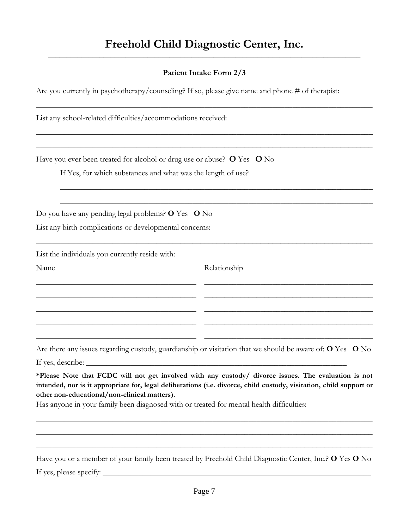### **Freehold Child Diagnostic Center, Inc.** \_\_\_\_\_\_\_\_\_\_\_\_\_\_\_\_\_\_\_\_\_\_\_\_\_\_\_\_\_\_\_\_\_\_\_\_\_\_\_\_\_\_\_\_\_\_\_\_\_\_\_\_\_\_\_\_\_\_\_\_\_\_\_\_\_\_\_\_\_\_\_\_\_\_\_\_\_\_\_\_\_\_\_\_\_

### **Patient Intake Form 2/3**

\_\_\_\_\_\_\_\_\_\_\_\_\_\_\_\_\_\_\_\_\_\_\_\_\_\_\_\_\_\_\_\_\_\_\_\_\_\_\_\_\_\_\_\_\_\_\_\_\_\_\_\_\_\_\_\_\_\_\_\_\_\_\_\_\_\_\_\_\_\_\_\_\_\_\_\_\_\_\_\_\_\_\_\_

\_\_\_\_\_\_\_\_\_\_\_\_\_\_\_\_\_\_\_\_\_\_\_\_\_\_\_\_\_\_\_\_\_\_\_\_\_\_\_\_\_\_\_\_\_\_\_\_\_\_\_\_\_\_\_\_\_\_\_\_\_\_\_\_\_\_\_\_\_\_\_\_\_\_\_\_\_\_\_\_\_\_\_\_

\_\_\_\_\_\_\_\_\_\_\_\_\_\_\_\_\_\_\_\_\_\_\_\_\_\_\_\_\_\_\_\_\_\_\_\_\_\_\_\_\_\_\_\_\_\_\_\_\_\_\_\_\_\_\_\_\_\_\_\_\_\_\_\_\_\_\_\_\_\_\_\_\_\_\_\_\_\_\_\_\_\_\_\_

\_\_\_\_\_\_\_\_\_\_\_\_\_\_\_\_\_\_\_\_\_\_\_\_\_\_\_\_\_\_\_\_\_\_\_\_\_\_\_\_\_\_\_\_\_\_\_\_\_\_\_\_\_\_\_\_\_\_\_\_\_\_\_\_\_\_\_\_\_\_\_\_\_\_\_\_\_\_\_\_\_\_\_\_

\_\_\_\_\_\_\_\_\_\_\_\_\_\_\_\_\_\_\_\_\_\_\_\_\_\_\_\_\_\_\_\_\_\_\_\_\_\_\_\_ \_\_\_\_\_\_\_\_\_\_\_\_\_\_\_\_\_\_\_\_\_\_\_\_\_\_\_\_\_\_\_\_\_\_\_\_\_\_\_\_\_\_

\_\_\_\_\_\_\_\_\_\_\_\_\_\_\_\_\_\_\_\_\_\_\_\_\_\_\_\_\_\_\_\_\_\_\_\_\_\_\_\_ \_\_\_\_\_\_\_\_\_\_\_\_\_\_\_\_\_\_\_\_\_\_\_\_\_\_\_\_\_\_\_\_\_\_\_\_\_\_\_\_\_\_

\_\_\_\_\_\_\_\_\_\_\_\_\_\_\_\_\_\_\_\_\_\_\_\_\_\_\_\_\_\_\_\_\_\_\_\_\_\_\_\_ \_\_\_\_\_\_\_\_\_\_\_\_\_\_\_\_\_\_\_\_\_\_\_\_\_\_\_\_\_\_\_\_\_\_\_\_\_\_\_\_\_\_

\_\_\_\_\_\_\_\_\_\_\_\_\_\_\_\_\_\_\_\_\_\_\_\_\_\_\_\_\_\_\_\_\_\_\_\_\_\_\_\_ \_\_\_\_\_\_\_\_\_\_\_\_\_\_\_\_\_\_\_\_\_\_\_\_\_\_\_\_\_\_\_\_\_\_\_\_\_\_\_\_\_\_

\_\_\_\_\_\_\_\_\_\_\_\_\_\_\_\_\_\_\_\_\_\_\_\_\_\_\_\_\_\_\_\_\_\_\_\_\_\_\_\_ \_\_\_\_\_\_\_\_\_\_\_\_\_\_\_\_\_\_\_\_\_\_\_\_\_\_\_\_\_\_\_\_\_\_\_\_\_\_\_\_\_\_

\_\_\_\_\_\_\_\_\_\_\_\_\_\_\_\_\_\_\_\_\_\_\_\_\_\_\_\_\_\_\_\_\_\_\_\_\_\_\_\_\_\_\_\_\_\_\_\_\_\_\_\_\_\_\_\_\_\_\_\_\_\_\_\_\_\_\_\_\_\_\_\_\_\_\_\_\_\_

\_\_\_\_\_\_\_\_\_\_\_\_\_\_\_\_\_\_\_\_\_\_\_\_\_\_\_\_\_\_\_\_\_\_\_\_\_\_\_\_\_\_\_\_\_\_\_\_\_\_\_\_\_\_\_\_\_\_\_\_\_\_\_\_\_\_\_\_\_\_\_\_\_\_\_\_\_\_

Are you currently in psychotherapy/counseling? If so, please give name and phone # of therapist:

List any school-related difficulties/accommodations received:

Have you ever been treated for alcohol or drug use or abuse? **O** Yes **O** No

If Yes, for which substances and what was the length of use?

Do you have any pending legal problems? **O** Yes **O** No

List any birth complications or developmental concerns:

List the individuals you currently reside with:

Name Relationship

Are there any issues regarding custody, guardianship or visitation that we should be aware of: **O** Yes **O** No

If yes, describe:

**\*Please Note that FCDC will not get involved with any custody/ divorce issues. The evaluation is not intended, nor is it appropriate for, legal deliberations (i.e. divorce, child custody, visitation, child support or other non-educational/non-clinical matters).**

\_\_\_\_\_\_\_\_\_\_\_\_\_\_\_\_\_\_\_\_\_\_\_\_\_\_\_\_\_\_\_\_\_\_\_\_\_\_\_\_\_\_\_\_\_\_\_\_\_\_\_\_\_\_\_\_\_\_\_\_\_\_\_\_\_\_\_\_\_\_\_\_\_\_\_\_\_\_\_\_\_\_\_\_

\_\_\_\_\_\_\_\_\_\_\_\_\_\_\_\_\_\_\_\_\_\_\_\_\_\_\_\_\_\_\_\_\_\_\_\_\_\_\_\_\_\_\_\_\_\_\_\_\_\_\_\_\_\_\_\_\_\_\_\_\_\_\_\_\_\_\_\_\_\_\_\_\_\_\_\_\_\_\_\_\_\_\_\_

 $\_$  , and the set of the set of the set of the set of the set of the set of the set of the set of the set of the set of the set of the set of the set of the set of the set of the set of the set of the set of the set of th

Has anyone in your family been diagnosed with or treated for mental health difficulties:

Have you or a member of your family been treated by Freehold Child Diagnostic Center, Inc.? **O** Yes **O** No If yes, please specify:  $\Box$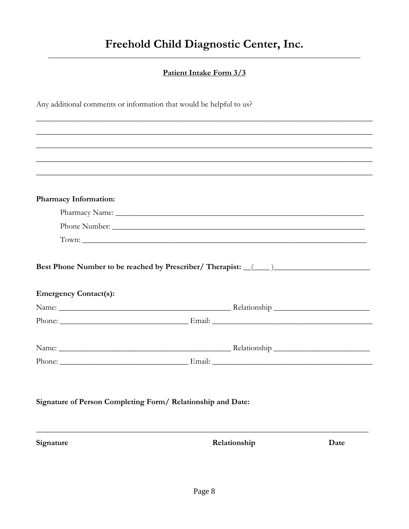### Patient Intake Form 3/3

|  | Any additional comments or information that would be helpful to us? |  |  |  |  |
|--|---------------------------------------------------------------------|--|--|--|--|
|  |                                                                     |  |  |  |  |

| <b>Pharmacy Information:</b> |                                                                  |
|------------------------------|------------------------------------------------------------------|
|                              |                                                                  |
|                              | Phone Number:                                                    |
|                              |                                                                  |
| <b>Emergency Contact(s):</b> | Best Phone Number to be reached by Prescriber/ Therapist: (1000) |
|                              |                                                                  |
|                              |                                                                  |
|                              |                                                                  |

Relationship

Signature

Date